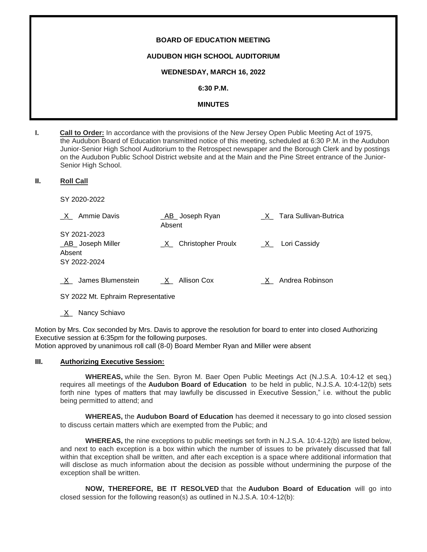# **BOARD OF EDUCATION MEETING AUDUBON HIGH SCHOOL AUDITORIUM WEDNESDAY, MARCH 16, 2022 6:30 P.M. MINUTES**

**I. Call to Order:** In accordance with the provisions of the New Jersey Open Public Meeting Act of 1975, the Audubon Board of Education transmitted notice of this meeting, scheduled at 6:30 P.M. in the Audubon Junior-Senior High School Auditorium to the Retrospect newspaper and the Borough Clerk and by postings on the Audubon Public School District website and at the Main and the Pine Street entrance of the Junior-Senior High School.

#### **II. Roll Call**

SY 2020-2022

| _X_ Ammie Davis                         | _AB_ Joseph Ryan<br>Absent     | X Tara Sullivan-Butrica |
|-----------------------------------------|--------------------------------|-------------------------|
| SY 2021-2023<br><b>AB</b> Joseph Miller | <b>Christopher Proulx</b><br>X | X Lori Cassidy          |
| Absent<br>SY 2022-2024                  |                                |                         |
| James Blumenstein<br>X                  | X Allison Cox                  | X Andrea Robinson       |

SY 2022 Mt. Ephraim Representative

X Nancy Schiavo

Motion by Mrs. Cox seconded by Mrs. Davis to approve the resolution for board to enter into closed Authorizing Executive session at 6:35pm for the following purposes. Motion approved by unanimous roll call (8-0) Board Member Ryan and Miller were absent

#### **III. Authorizing Executive Session:**

**WHEREAS,** while the Sen. Byron M. Baer Open Public Meetings Act (N.J.S.A. 10:4-12 et seq.) requires all meetings of the **Audubon Board of Education** to be held in public, N.J.S.A. 10:4-12(b) sets forth nine types of matters that may lawfully be discussed in Executive Session," i.e. without the public being permitted to attend; and

**WHEREAS,** the **Audubon Board of Education** has deemed it necessary to go into closed session to discuss certain matters which are exempted from the Public; and

**WHEREAS,** the nine exceptions to public meetings set forth in N.J.S.A. 10:4-12(b) are listed below, and next to each exception is a box within which the number of issues to be privately discussed that fall within that exception shall be written, and after each exception is a space where additional information that will disclose as much information about the decision as possible without undermining the purpose of the exception shall be written.

**NOW, THEREFORE, BE IT RESOLVED** that the **Audubon Board of Education** will go into closed session for the following reason(s) as outlined in N.J.S.A. 10:4-12(b):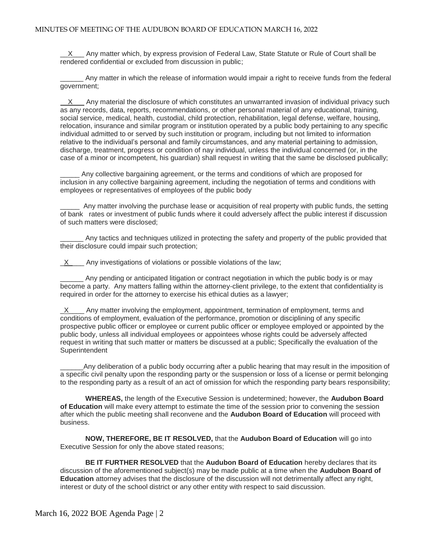$\underline{X}$  Any matter which, by express provision of Federal Law, State Statute or Rule of Court shall be rendered confidential or excluded from discussion in public;

\_\_\_\_\_\_ Any matter in which the release of information would impair a right to receive funds from the federal government;

 X Any material the disclosure of which constitutes an unwarranted invasion of individual privacy such as any records, data, reports, recommendations, or other personal material of any educational, training, social service, medical, health, custodial, child protection, rehabilitation, legal defense, welfare, housing, relocation, insurance and similar program or institution operated by a public body pertaining to any specific individual admitted to or served by such institution or program, including but not limited to information relative to the individual's personal and family circumstances, and any material pertaining to admission, discharge, treatment, progress or condition of nay individual, unless the individual concerned (or, in the case of a minor or incompetent, his guardian) shall request in writing that the same be disclosed publically;

Any collective bargaining agreement, or the terms and conditions of which are proposed for inclusion in any collective bargaining agreement, including the negotiation of terms and conditions with employees or representatives of employees of the public body

\_\_\_\_\_ Any matter involving the purchase lease or acquisition of real property with public funds, the setting of bank rates or investment of public funds where it could adversely affect the public interest if discussion of such matters were disclosed;

Any tactics and techniques utilized in protecting the safety and property of the public provided that their disclosure could impair such protection;

X Any investigations of violations or possible violations of the law;

Any pending or anticipated litigation or contract negotiation in which the public body is or may become a party. Any matters falling within the attorney-client privilege, to the extent that confidentiality is required in order for the attorney to exercise his ethical duties as a lawyer;

 $X$  Any matter involving the employment, appointment, termination of employment, terms and conditions of employment, evaluation of the performance, promotion or disciplining of any specific prospective public officer or employee or current public officer or employee employed or appointed by the public body, unless all individual employees or appointees whose rights could be adversely affected request in writing that such matter or matters be discussed at a public; Specifically the evaluation of the Superintendent

Any deliberation of a public body occurring after a public hearing that may result in the imposition of a specific civil penalty upon the responding party or the suspension or loss of a license or permit belonging to the responding party as a result of an act of omission for which the responding party bears responsibility;

**WHEREAS,** the length of the Executive Session is undetermined; however, the **Audubon Board of Education** will make every attempt to estimate the time of the session prior to convening the session after which the public meeting shall reconvene and the **Audubon Board of Education** will proceed with business.

**NOW, THEREFORE, BE IT RESOLVED,** that the **Audubon Board of Education** will go into Executive Session for only the above stated reasons;

**BE IT FURTHER RESOLVED** that the **Audubon Board of Education** hereby declares that its discussion of the aforementioned subject(s) may be made public at a time when the **Audubon Board of Education** attorney advises that the disclosure of the discussion will not detrimentally affect any right, interest or duty of the school district or any other entity with respect to said discussion.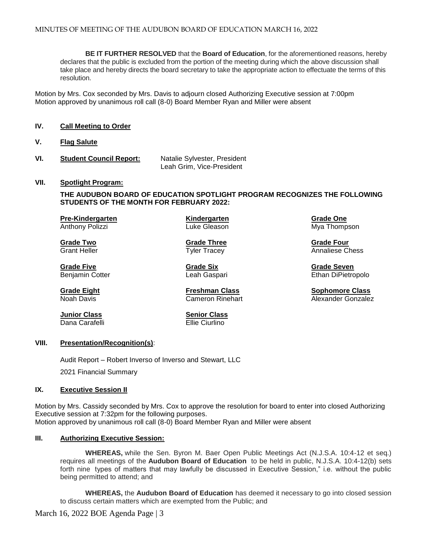**BE IT FURTHER RESOLVED** that the **Board of Education**, for the aforementioned reasons, hereby declares that the public is excluded from the portion of the meeting during which the above discussion shall take place and hereby directs the board secretary to take the appropriate action to effectuate the terms of this resolution.

Motion by Mrs. Cox seconded by Mrs. Davis to adjourn closed Authorizing Executive session at 7:00pm Motion approved by unanimous roll call (8-0) Board Member Ryan and Miller were absent

- **IV. Call Meeting to Order**
- **V. Flag Salute**
- **VI. Student Council Report:** Natalie Sylvester, President Leah Grim, Vice-President

#### **VII. Spotlight Program:**

**THE AUDUBON BOARD OF EDUCATION SPOTLIGHT PROGRAM RECOGNIZES THE FOLLOWING STUDENTS OF THE MONTH FOR FEBRUARY 2022:**

**Pre-Kindergarten Kindergarten Grade One** Anthony Polizzi **National Clube Cleason** Cuke Gleason Mya Thompson

**Grade Five Grade Six Grade Seven**

**Grade Two Grade Three Grade Four**

Grant Heller **Tracey** Tyler Tracey **Annaliese Chess** and Tyler Tracey **Annaliese** Chess

Benjamin Cotter **Ethan Dipierry Contract Contract Leah Gaspari Ethan Dipierry Ethan DiPietropolo** 

**Grade Eight Freshman Class Sophomore Class** Alexander Gonzalez

Dana Carafelli

**Junior Class Senior Class** 

#### **VIII. Presentation/Recognition(s)**:

Audit Report – Robert Inverso of Inverso and Stewart, LLC 2021 Financial Summary

#### **IX. Executive Session II**

Motion by Mrs. Cassidy seconded by Mrs. Cox to approve the resolution for board to enter into closed Authorizing Executive session at 7:32pm for the following purposes. Motion approved by unanimous roll call (8-0) Board Member Ryan and Miller were absent

#### **III. Authorizing Executive Session:**

**WHEREAS,** while the Sen. Byron M. Baer Open Public Meetings Act (N.J.S.A. 10:4-12 et seq.) requires all meetings of the **Audubon Board of Education** to be held in public, N.J.S.A. 10:4-12(b) sets forth nine types of matters that may lawfully be discussed in Executive Session," i.e. without the public being permitted to attend; and

**WHEREAS,** the **Audubon Board of Education** has deemed it necessary to go into closed session to discuss certain matters which are exempted from the Public; and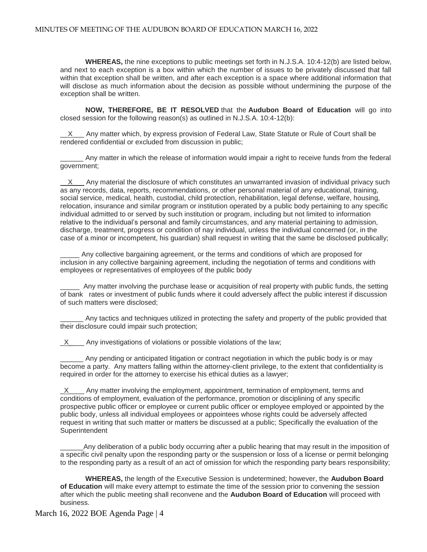**WHEREAS,** the nine exceptions to public meetings set forth in N.J.S.A. 10:4-12(b) are listed below, and next to each exception is a box within which the number of issues to be privately discussed that fall within that exception shall be written, and after each exception is a space where additional information that will disclose as much information about the decision as possible without undermining the purpose of the exception shall be written.

**NOW, THEREFORE, BE IT RESOLVED** that the **Audubon Board of Education** will go into closed session for the following reason(s) as outlined in N.J.S.A. 10:4-12(b):

X Any matter which, by express provision of Federal Law, State Statute or Rule of Court shall be rendered confidential or excluded from discussion in public;

Any matter in which the release of information would impair a right to receive funds from the federal government;

X Any material the disclosure of which constitutes an unwarranted invasion of individual privacy such as any records, data, reports, recommendations, or other personal material of any educational, training, social service, medical, health, custodial, child protection, rehabilitation, legal defense, welfare, housing, relocation, insurance and similar program or institution operated by a public body pertaining to any specific individual admitted to or served by such institution or program, including but not limited to information relative to the individual's personal and family circumstances, and any material pertaining to admission, discharge, treatment, progress or condition of nay individual, unless the individual concerned (or, in the case of a minor or incompetent, his guardian) shall request in writing that the same be disclosed publically;

\_\_\_\_\_ Any collective bargaining agreement, or the terms and conditions of which are proposed for inclusion in any collective bargaining agreement, including the negotiation of terms and conditions with employees or representatives of employees of the public body

\_\_\_\_\_ Any matter involving the purchase lease or acquisition of real property with public funds, the setting of bank rates or investment of public funds where it could adversely affect the public interest if discussion of such matters were disclosed;

Any tactics and techniques utilized in protecting the safety and property of the public provided that their disclosure could impair such protection;

 $X$  Any investigations of violations or possible violations of the law;

Any pending or anticipated litigation or contract negotiation in which the public body is or may become a party. Any matters falling within the attorney-client privilege, to the extent that confidentiality is required in order for the attorney to exercise his ethical duties as a lawyer;

 $\underline{X}$  Any matter involving the employment, appointment, termination of employment, terms and conditions of employment, evaluation of the performance, promotion or disciplining of any specific prospective public officer or employee or current public officer or employee employed or appointed by the public body, unless all individual employees or appointees whose rights could be adversely affected request in writing that such matter or matters be discussed at a public; Specifically the evaluation of the **Superintendent** 

Any deliberation of a public body occurring after a public hearing that may result in the imposition of a specific civil penalty upon the responding party or the suspension or loss of a license or permit belonging to the responding party as a result of an act of omission for which the responding party bears responsibility;

**WHEREAS,** the length of the Executive Session is undetermined; however, the **Audubon Board of Education** will make every attempt to estimate the time of the session prior to convening the session after which the public meeting shall reconvene and the **Audubon Board of Education** will proceed with business.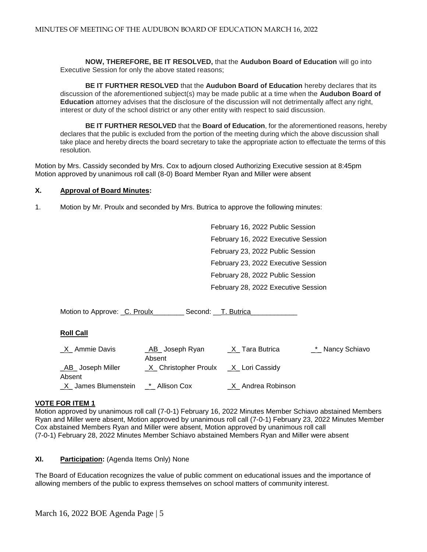**NOW, THEREFORE, BE IT RESOLVED,** that the **Audubon Board of Education** will go into Executive Session for only the above stated reasons;

**BE IT FURTHER RESOLVED** that the **Audubon Board of Education** hereby declares that its discussion of the aforementioned subject(s) may be made public at a time when the **Audubon Board of Education** attorney advises that the disclosure of the discussion will not detrimentally affect any right, interest or duty of the school district or any other entity with respect to said discussion.

**BE IT FURTHER RESOLVED** that the **Board of Education**, for the aforementioned reasons, hereby declares that the public is excluded from the portion of the meeting during which the above discussion shall take place and hereby directs the board secretary to take the appropriate action to effectuate the terms of this resolution.

Motion by Mrs. Cassidy seconded by Mrs. Cox to adjourn closed Authorizing Executive session at 8:45pm Motion approved by unanimous roll call (8-0) Board Member Ryan and Miller were absent

#### **X. Approval of Board Minutes:**

1. Motion by Mr. Proulx and seconded by Mrs. Butrica to approve the following minutes:

February 16, 2022 Public Session February 16, 2022 Executive Session February 23, 2022 Public Session February 23, 2022 Executive Session February 28, 2022 Public Session February 28, 2022 Executive Session

| Motion to Approve: C. Proulx      | Second: T. Butrica         |                   |                   |
|-----------------------------------|----------------------------|-------------------|-------------------|
| <b>Roll Call</b>                  |                            |                   |                   |
| X Ammie Davis                     | _AB_ Joseph Ryan<br>Absent | _X_Tara Butrica   | _*_ Nancy Schiavo |
| <b>AB</b> Joseph Miller<br>Absent | _X_ Christopher Proulx     | _X_ Lori Cassidy  |                   |
| $X_$ James Blumenstein            | * Allison Cox              | X Andrea Robinson |                   |

#### **VOTE FOR ITEM 1**

Motion approved by unanimous roll call (7-0-1) February 16, 2022 Minutes Member Schiavo abstained Members Ryan and Miller were absent, Motion approved by unanimous roll call (7-0-1) February 23, 2022 Minutes Member Cox abstained Members Ryan and Miller were absent, Motion approved by unanimous roll call (7-0-1) February 28, 2022 Minutes Member Schiavo abstained Members Ryan and Miller were absent

#### **XI. Participation:** (Agenda Items Only) None

The Board of Education recognizes the value of public comment on educational issues and the importance of allowing members of the public to express themselves on school matters of community interest.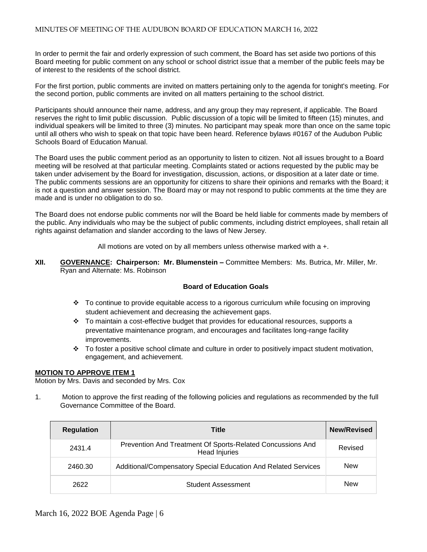In order to permit the fair and orderly expression of such comment, the Board has set aside two portions of this Board meeting for public comment on any school or school district issue that a member of the public feels may be of interest to the residents of the school district.

For the first portion, public comments are invited on matters pertaining only to the agenda for tonight's meeting. For the second portion, public comments are invited on all matters pertaining to the school district.

Participants should announce their name, address, and any group they may represent, if applicable. The Board reserves the right to limit public discussion. Public discussion of a topic will be limited to fifteen (15) minutes, and individual speakers will be limited to three (3) minutes. No participant may speak more than once on the same topic until all others who wish to speak on that topic have been heard. Reference bylaws #0167 of the Audubon Public Schools Board of Education Manual.

The Board uses the public comment period as an opportunity to listen to citizen. Not all issues brought to a Board meeting will be resolved at that particular meeting. Complaints stated or actions requested by the public may be taken under advisement by the Board for investigation, discussion, actions, or disposition at a later date or time. The public comments sessions are an opportunity for citizens to share their opinions and remarks with the Board; it is not a question and answer session. The Board may or may not respond to public comments at the time they are made and is under no obligation to do so.

The Board does not endorse public comments nor will the Board be held liable for comments made by members of the public. Any individuals who may be the subject of public comments, including district employees, shall retain all rights against defamation and slander according to the laws of New Jersey.

All motions are voted on by all members unless otherwise marked with a +.

**XII. GOVERNANCE: Chairperson: Mr. Blumenstein –** Committee Members: Ms. Butrica, Mr. Miller, Mr. Ryan and Alternate: Ms. Robinson

# **Board of Education Goals**

- To continue to provide equitable access to a rigorous curriculum while focusing on improving student achievement and decreasing the achievement gaps.
- $\div$  To maintain a cost-effective budget that provides for educational resources, supports a preventative maintenance program, and encourages and facilitates long-range facility improvements.
- \* To foster a positive school climate and culture in order to positively impact student motivation, engagement, and achievement.

#### **MOTION TO APPROVE ITEM 1**

Motion by Mrs. Davis and seconded by Mrs. Cox

1. Motion to approve the first reading of the following policies and regulations as recommended by the full Governance Committee of the Board.

| <b>Regulation</b> | <b>Title</b>                                                                       | <b>New/Revised</b> |
|-------------------|------------------------------------------------------------------------------------|--------------------|
| 2431.4            | Prevention And Treatment Of Sports-Related Concussions And<br><b>Head Injuries</b> | Revised            |
| 2460.30           | Additional/Compensatory Special Education And Related Services                     | <b>New</b>         |
| 2622              | <b>Student Assessment</b>                                                          | <b>New</b>         |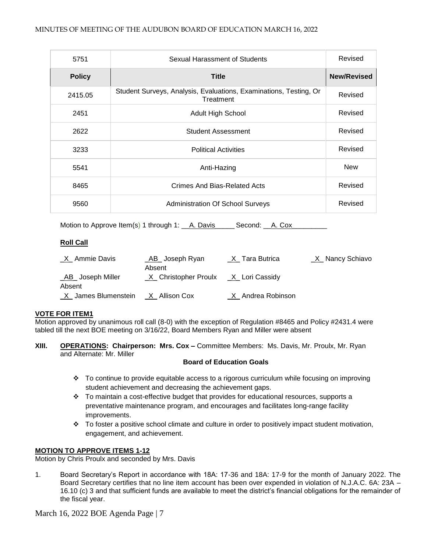| 5751          | Sexual Harassment of Students                                                  | Revised            |
|---------------|--------------------------------------------------------------------------------|--------------------|
| <b>Policy</b> | <b>Title</b>                                                                   | <b>New/Revised</b> |
| 2415.05       | Student Surveys, Analysis, Evaluations, Examinations, Testing, Or<br>Treatment | Revised            |
| 2451          | <b>Adult High School</b>                                                       | Revised            |
| 2622          | <b>Student Assessment</b>                                                      | Revised            |
| 3233          | <b>Political Activities</b>                                                    | Revised            |
| 5541          | Anti-Hazing                                                                    | <b>New</b>         |
| 8465          | Crimes And Bias-Related Acts                                                   | Revised            |
| 9560          | <b>Administration Of School Surveys</b>                                        | Revised            |

Motion to Approve Item(s) 1 through 1: A. Davis Corporation Second: A. Cox

# **Roll Call**

| _X_ Ammie Davis     | _AB_ Joseph Ryan                         | _X_Tara Butrica   | _X_ Nancy Schiavo |
|---------------------|------------------------------------------|-------------------|-------------------|
|                     | Absent                                   |                   |                   |
| _AB_ Joseph Miller  | _X_ Christopher Proulx __X_ Lori Cassidy |                   |                   |
| Absent              |                                          |                   |                   |
| X James Blumenstein | X Allison Cox                            | X Andrea Robinson |                   |

# **VOTE FOR ITEM1**

Motion approved by unanimous roll call (8-0) with the exception of Regulation #8465 and Policy #2431.4 were tabled till the next BOE meeting on 3/16/22, Board Members Ryan and Miller were absent

**XIII. OPERATIONS: Chairperson: Mrs. Cox –** Committee Members: Ms. Davis, Mr. Proulx, Mr. Ryan and Alternate: Mr. Miller

# **Board of Education Goals**

- \* To continue to provide equitable access to a rigorous curriculum while focusing on improving student achievement and decreasing the achievement gaps.
- $\cdot \cdot$  To maintain a cost-effective budget that provides for educational resources, supports a preventative maintenance program, and encourages and facilitates long-range facility improvements.
- To foster a positive school climate and culture in order to positively impact student motivation, engagement, and achievement.

# **MOTION TO APPROVE ITEMS 1-12**

Motion by Chris Proulx and seconded by Mrs. Davis

1. Board Secretary's Report in accordance with 18A: 17-36 and 18A: 17-9 for the month of January 2022. The Board Secretary certifies that no line item account has been over expended in violation of N.J.A.C. 6A: 23A – 16.10 (c) 3 and that sufficient funds are available to meet the district's financial obligations for the remainder of the fiscal year.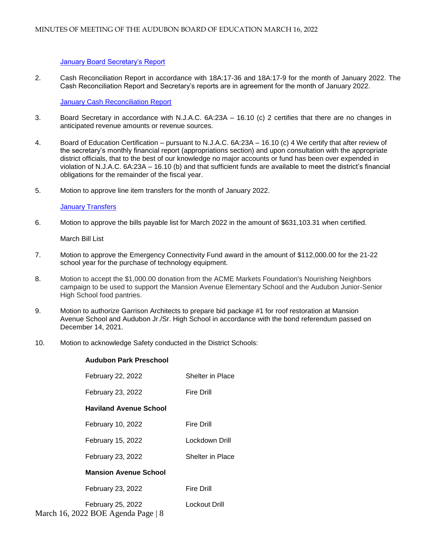#### [January Board Secretary's Report](https://docs.google.com/a/audubonschools.org/viewer?a=v&pid=sites&srcid=YXVkdWJvbnNjaG9vbHMub3JnfGJvYXJkLWFnZW5kYXxneDoyODY2OTlmYWQ4MGQyYmEw)

2. Cash Reconciliation Report in accordance with 18A:17-36 and 18A:17-9 for the month of January 2022. The Cash Reconciliation Report and Secretary's reports are in agreement for the month of January 2022.

[January Cash Reconciliation Report](https://docs.google.com/a/audubonschools.org/viewer?a=v&pid=sites&srcid=YXVkdWJvbnNjaG9vbHMub3JnfGJvYXJkLWFnZW5kYXxneDo3OGRkN2I1NWUwNTQ0ODcx)

- 3.Board Secretary in accordance with N.J.A.C. 6A:23A 16.10 (c) 2 certifies that there are no changes in anticipated revenue amounts or revenue sources.
- 4. Board of Education Certification pursuant to N.J.A.C. 6A:23A 16.10 (c) 4 We certify that after review of the secretary's monthly financial report (appropriations section) and upon consultation with the appropriate district officials, that to the best of our knowledge no major accounts or fund has been over expended in violation of N.J.A.C. 6A:23A – 16.10 (b) and that sufficient funds are available to meet the district's financial obligations for the remainder of the fiscal year.
- 5. Motion to approve line item transfers for the month of January 2022.

#### **[January Transfers](https://docs.google.com/a/audubonschools.org/viewer?a=v&pid=sites&srcid=YXVkdWJvbnNjaG9vbHMub3JnfGJvYXJkLWFnZW5kYXxneDoxMzI4Yjc0NzE1NzkxOWY1)**

6. Motion to approve the bills payable list for March 2022 in the amount of \$631,103.31 when certified.

March Bill List

- 7. Motion to approve the Emergency Connectivity Fund award in the amount of \$112,000.00 for the 21-22 school year for the purchase of technology equipment.
- 8. Motion to accept the \$1,000.00 donation from the ACME Markets Foundation's Nourishing Neighbors campaign to be used to support the Mansion Avenue Elementary School and the Audubon Junior-Senior High School food pantries.
- 9. Motion to authorize Garrison Architects to prepare bid package #1 for roof restoration at Mansion Avenue School and Audubon Jr./Sr. High School in accordance with the bond referendum passed on December 14, 2021.
- 10. Motion to acknowledge Safety conducted in the District Schools:

# **Audubon Park Preschool**

| February 22, 2022             | Shelter in Place        |
|-------------------------------|-------------------------|
| February 23, 2022             | Fire Drill              |
| <b>Haviland Avenue School</b> |                         |
| February 10, 2022             | Fire Drill              |
| February 15, 2022             | Lockdown Drill          |
| February 23, 2022             | <b>Shelter in Place</b> |
| <b>Mansion Avenue School</b>  |                         |
| February 23, 2022             | Fire Drill              |
| February 25, 2022             | Lockout Drill           |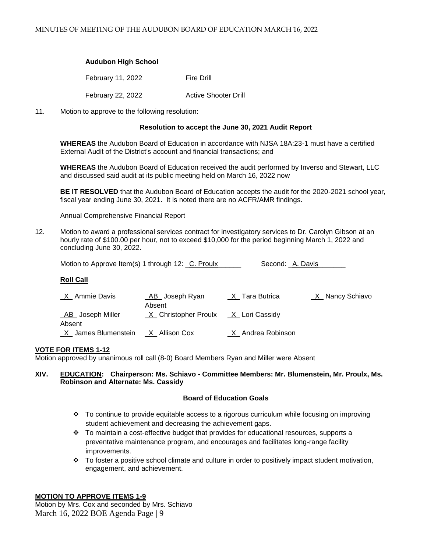# **Audubon High School**

February 11, 2022 Fire Drill February 22, 2022 Active Shooter Drill

11. Motion to approve to the following resolution:

#### **Resolution to accept the June 30, 2021 Audit Report**

**WHEREAS** the Audubon Board of Education in accordance with NJSA 18A:23-1 must have a certified External Audit of the District's account and financial transactions; and

**WHEREAS** the Audubon Board of Education received the audit performed by Inverso and Stewart, LLC and discussed said audit at its public meeting held on March 16, 2022 now

**BE IT RESOLVED** that the Audubon Board of Education accepts the audit for the 2020-2021 school year, fiscal year ending June 30, 2021. It is noted there are no ACFR/AMR findings.

Annual Comprehensive Financial Report

12. Motion to award a professional services contract for investigatory services to Dr. Carolyn Gibson at an hourly rate of \$100.00 per hour, not to exceed \$10,000 for the period beginning March 1, 2022 and concluding June 30, 2022.

Motion to Approve Item(s) 1 through 12: \_C. Proulx\_\_\_\_\_\_\_\_\_\_\_\_\_\_\_\_\_\_\_\_\_\_\_\_\_\_\_\_\_\_\_ Second: \_A. Davis\_

#### **Roll Call**

| <u>X</u> Ammie Davis  | _AB_ Joseph Ryan       | $X$ <sub>_</sub> Tara Butrica | <u>X</u> _Nancy Schiavo |
|-----------------------|------------------------|-------------------------------|-------------------------|
|                       | Absent                 |                               |                         |
| _AB_ Joseph Miller    | _X_ Christopher Proulx | _X_ Lori Cassidy              |                         |
| Absent                |                        |                               |                         |
| _X_ James Blumenstein | _X_ Allison Cox        | X Andrea Robinson             |                         |

## **VOTE FOR ITEMS 1-12**

Motion approved by unanimous roll call (8-0) Board Members Ryan and Miller were Absent

## **XIV. EDUCATION: Chairperson: Ms. Schiavo - Committee Members: Mr. Blumenstein, Mr. Proulx, Ms. Robinson and Alternate: Ms. Cassidy**

#### **Board of Education Goals**

- To continue to provide equitable access to a rigorous curriculum while focusing on improving student achievement and decreasing the achievement gaps.
- To maintain a cost-effective budget that provides for educational resources, supports a preventative maintenance program, and encourages and facilitates long-range facility improvements.
- \* To foster a positive school climate and culture in order to positively impact student motivation, engagement, and achievement.

# **MOTION TO APPROVE ITEMS 1-9**

March 16, 2022 BOE Agenda Page | 9 Motion by Mrs. Cox and seconded by Mrs. Schiavo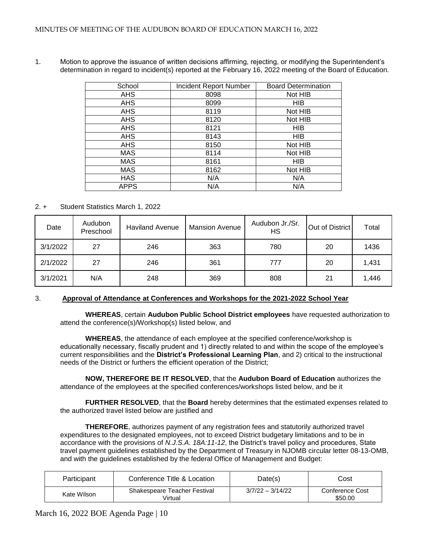| School      | <b>Incident Report Number</b> | <b>Board Determination</b> |
|-------------|-------------------------------|----------------------------|
| <b>AHS</b>  | 8098                          | Not HIB                    |
| <b>AHS</b>  | 8099                          | <b>HIB</b>                 |
| <b>AHS</b>  | 8119                          | Not HIB                    |
| <b>AHS</b>  | 8120                          | Not HIB                    |
| <b>AHS</b>  | 8121                          | <b>HIB</b>                 |
| <b>AHS</b>  | 8143                          | <b>HIB</b>                 |
| <b>AHS</b>  | 8150                          | Not HIB                    |
| <b>MAS</b>  | 8114                          | Not HIB                    |
| <b>MAS</b>  | 8161                          | <b>HIB</b>                 |
| <b>MAS</b>  | 8162                          | Not HIB                    |
| <b>HAS</b>  | N/A                           | N/A                        |
| <b>APPS</b> | N/A                           | N/A                        |
|             |                               |                            |

1. Motion to approve the issuance of written decisions affirming, rejecting, or modifying the Superintendent's determination in regard to incident(s) reported at the February 16, 2022 meeting of the Board of Education.

# 2. + Student Statistics March 1, 2022

| Date     | Audubon<br>Preschool | <b>Haviland Avenue</b> | <b>Mansion Avenue</b> | Audubon Jr./Sr.<br>HS | Out of District | Total |
|----------|----------------------|------------------------|-----------------------|-----------------------|-----------------|-------|
| 3/1/2022 | 27                   | 246                    | 363                   | 780                   | 20              | 1436  |
| 2/1/2022 | 27                   | 246                    | 361                   | 777                   | 20              | 1,431 |
| 3/1/2021 | N/A                  | 248                    | 369                   | 808                   | 21              | 1,446 |

# 3. **Approval of Attendance at Conferences and Workshops for the 2021-2022 School Year**

 **WHEREAS**, certain **Audubon Public School District employees** have requested authorization to attend the conference(s)/Workshop(s) listed below, and

**WHEREAS**, the attendance of each employee at the specified conference/workshop is educationally necessary, fiscally prudent and 1) directly related to and within the scope of the employee's current responsibilities and the **District's Professional Learning Plan**, and 2) critical to the instructional needs of the District or furthers the efficient operation of the District;

**NOW, THEREFORE BE IT RESOLVED**, that the **Audubon Board of Education** authorizes the attendance of the employees at the specified conferences/workshops listed below, and be it

**FURTHER RESOLVED**, that the **Board** hereby determines that the estimated expenses related to the authorized travel listed below are justified and

**THEREFORE**, authorizes payment of any registration fees and statutorily authorized travel expenditures to the designated employees, not to exceed District budgetary limitations and to be in accordance with the provisions of *N.J.S.A. 18A:11-12*, the District's travel policy and procedures, State travel payment guidelines established by the Department of Treasury in NJOMB circular letter 08-13-OMB, and with the guidelines established by the federal Office of Management and Budget:

| Participant | Conference Title & Location                    | Date(s)            | Cost                       |
|-------------|------------------------------------------------|--------------------|----------------------------|
| Kate Wilson | <b>Shakespeare Teacher Festival</b><br>Virtual | $3/7/22 - 3/14/22$ | Conference Cost<br>\$50.00 |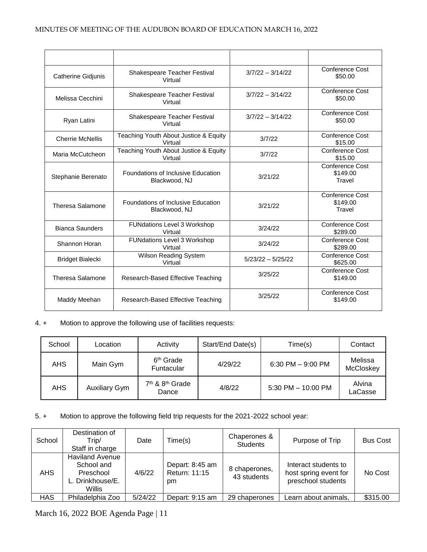| Catherine Gidjunis      | Shakespeare Teacher Festival<br>Virtual             | $3/7/22 - 3/14/22$  | <b>Conference Cost</b><br>\$50.00     |
|-------------------------|-----------------------------------------------------|---------------------|---------------------------------------|
| Melissa Cecchini        | Shakespeare Teacher Festival<br>Virtual             | $3/7/22 - 3/14/22$  | Conference Cost<br>\$50.00            |
| Ryan Latini             | Shakespeare Teacher Festival<br>Virtual             | $3/7/22 - 3/14/22$  | Conference Cost<br>\$50.00            |
| <b>Cherrie McNellis</b> | Teaching Youth About Justice & Equity<br>Virtual    | 3/7/22              | Conference Cost<br>\$15.00            |
| Maria McCutcheon        | Teaching Youth About Justice & Equity<br>Virtual    | 3/7/22              | <b>Conference Cost</b><br>\$15.00     |
| Stephanie Berenato      | Foundations of Inclusive Education<br>Blackwood, NJ | 3/21/22             | Conference Cost<br>\$149.00<br>Travel |
| <b>Theresa Salamone</b> | Foundations of Inclusive Education<br>Blackwood, NJ |                     | Conference Cost<br>\$149.00<br>Travel |
| <b>Bianca Saunders</b>  | <b>FUNdations Level 3 Workshop</b><br>Virtual       | 3/24/22             | Conference Cost<br>\$289.00           |
| Shannon Horan           | <b>FUNdations Level 3 Workshop</b><br>Virtual       | 3/24/22             | Conference Cost<br>\$289.00           |
| <b>Bridget Bialecki</b> | Wilson Reading System<br>Virtual                    | $5/23/22 - 5/25/22$ | <b>Conference Cost</b><br>\$625.00    |
| <b>Theresa Salamone</b> | Research-Based Effective Teaching                   | 3/25/22             | Conference Cost<br>\$149.00           |
| Maddy Meehan            | Research-Based Effective Teaching                   | 3/25/22             | Conference Cost<br>\$149.00           |

# 4. + Motion to approve the following use of facilities requests:

| School     | Location             | Activity                                         | Start/End Date(s) | Time(s)               | Contact                     |
|------------|----------------------|--------------------------------------------------|-------------------|-----------------------|-----------------------------|
| <b>AHS</b> | Main Gym             | 6 <sup>th</sup> Grade<br>Funtacular              | 4/29/22           | $6:30$ PM $-9:00$ PM  | Melissa<br><b>McCloskey</b> |
| <b>AHS</b> | <b>Auxiliary Gym</b> | 7 <sup>th</sup> & 8 <sup>th</sup> Grade<br>Dance | 4/8/22            | $5:30$ PM $-10:00$ PM | Alvina<br>LaCasse           |

5. + Motion to approve the following field trip requests for the 2021-2022 school year:

| School     | Destination of<br>Trip/<br>Staff in charge                                      | Date    | Time(s)                                | Chaperones &<br><b>Students</b> | Purpose of Trip                                                     | <b>Bus Cost</b> |
|------------|---------------------------------------------------------------------------------|---------|----------------------------------------|---------------------------------|---------------------------------------------------------------------|-----------------|
| AHS        | <b>Haviland Avenue</b><br>School and<br>Preschool<br>L. Drinkhouse/E.<br>Willis | 4/6/22  | Depart: 8:45 am<br>Return: 11:15<br>pm | 8 chaperones,<br>43 students    | Interact students to<br>host spring event for<br>preschool students | No Cost         |
| <b>HAS</b> | Philadelphia Zoo                                                                | 5/24/22 | Depart: 9:15 am                        | 29 chaperones                   | Learn about animals,                                                | \$315.00        |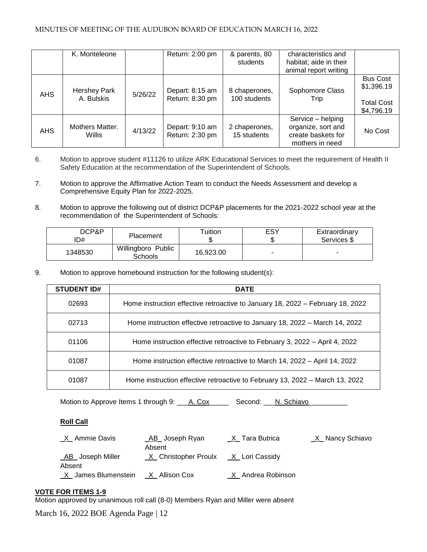## MINUTES OF MEETING OF THE AUDUBON BOARD OF EDUCATION MARCH 16, 2022

|            | K. Monteleone                     |         | Return: 2:00 pm                    | & parents, 80<br>students     | characteristics and<br>habitat; aide in their<br>animal report writing           |                                                                  |
|------------|-----------------------------------|---------|------------------------------------|-------------------------------|----------------------------------------------------------------------------------|------------------------------------------------------------------|
| <b>AHS</b> | <b>Hershey Park</b><br>A. Bulskis | 5/26/22 | Depart: 8:15 am<br>Return: 8:30 pm | 8 chaperones,<br>100 students | Sophomore Class<br>Trip                                                          | <b>Bus Cost</b><br>\$1,396.19<br><b>Total Cost</b><br>\$4,796.19 |
| <b>AHS</b> | Mothers Matter.<br>Willis         | 4/13/22 | Depart: 9:10 am<br>Return: 2:30 pm | 2 chaperones,<br>15 students  | Service - helping<br>organize, sort and<br>create baskets for<br>mothers in need | No Cost                                                          |

- 6. Motion to approve student #11126 to utilize ARK Educational Services to meet the requirement of Health II Safety Education at the recommendation of the Superintendent of Schools.
- 7. Motion to approve the Affirmative Action Team to conduct the Needs Assessment and develop a Comprehensive Equity Plan for 2022-2025.
- 8. Motion to approve the following out of district DCP&P placements for the 2021-2022 school year at the recommendation of the Superintendent of Schools:

| DCP&P<br>ID# | Placement                     | Tuition   | ESY | Extraordinary<br>Services \$ |
|--------------|-------------------------------|-----------|-----|------------------------------|
| 1348530      | Willingboro Public<br>Schools | 16.923.00 |     | ۰                            |

9. Motion to approve homebound instruction for the following student(s):

| <b>STUDENT ID#</b> | <b>DATE</b>                                                                    |
|--------------------|--------------------------------------------------------------------------------|
| 02693              | Home instruction effective retroactive to January 18, 2022 – February 18, 2022 |
| 02713              | Home instruction effective retroactive to January 18, 2022 – March 14, 2022    |
| 01106              | Home instruction effective retroactive to February 3, 2022 – April 4, 2022     |
| 01087              | Home instruction effective retroactive to March 14, 2022 – April 14, 2022      |
| 01087              | Home instruction effective retroactive to February 13, 2022 – March 13, 2022   |

Motion to Approve Items 1 through 9: \_\_\_A. Cox\_\_\_\_\_\_\_\_\_ Second: \_\_\_N. Schiavo\_\_\_

# **Roll Call**

| _AB_ Joseph Ryan | X Tara Butrica                                  | _X_ Nancy Schiavo                       |
|------------------|-------------------------------------------------|-----------------------------------------|
|                  |                                                 |                                         |
|                  | X Andrea Robinson                               |                                         |
|                  | Absent<br>$X$ James Blumenstein $X$ Allison Cox | $X$ Christopher Proulx $X$ Lori Cassidy |

# **VOTE FOR ITEMS 1-9**

Motion approved by unanimous roll call (8-0) Members Ryan and Miller were absent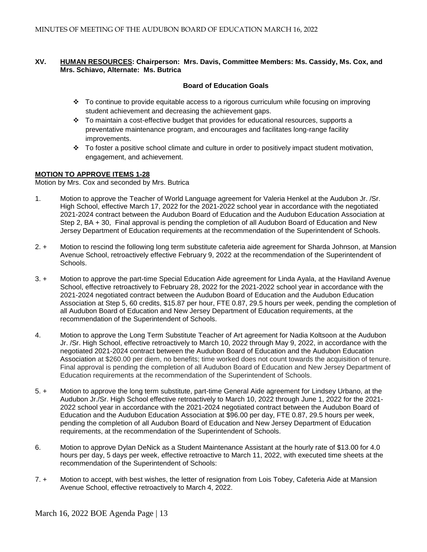## **XV. HUMAN RESOURCES: Chairperson: Mrs. Davis, Committee Members: Ms. Cassidy, Ms. Cox, and Mrs. Schiavo, Alternate: Ms. Butrica**

# **Board of Education Goals**

- To continue to provide equitable access to a rigorous curriculum while focusing on improving student achievement and decreasing the achievement gaps.
- $\div$  To maintain a cost-effective budget that provides for educational resources, supports a preventative maintenance program, and encourages and facilitates long-range facility improvements.
- $\cdot \cdot$  To foster a positive school climate and culture in order to positively impact student motivation, engagement, and achievement.

## **MOTION TO APPROVE ITEMS 1-28**

Motion by Mrs. Cox and seconded by Mrs. Butrica

- 1. Motion to approve the Teacher of World Language agreement for Valeria Henkel at the Audubon Jr. /Sr. High School, effective March 17, 2022 for the 2021-2022 school year in accordance with the negotiated 2021-2024 contract between the Audubon Board of Education and the Audubon Education Association at Step 2, BA + 30, Final approval is pending the completion of all Audubon Board of Education and New Jersey Department of Education requirements at the recommendation of the Superintendent of Schools.
- 2. + Motion to rescind the following long term substitute cafeteria aide agreement for Sharda Johnson, at Mansion Avenue School, retroactively effective February 9, 2022 at the recommendation of the Superintendent of Schools.
- 3. + Motion to approve the part-time Special Education Aide agreement for Linda Ayala, at the Haviland Avenue School, effective retroactively to February 28, 2022 for the 2021-2022 school year in accordance with the 2021-2024 negotiated contract between the Audubon Board of Education and the Audubon Education Association at Step 5, 60 credits, \$15.87 per hour, FTE 0.87, 29.5 hours per week, pending the completion of all Audubon Board of Education and New Jersey Department of Education requirements, at the recommendation of the Superintendent of Schools.
- 4. Motion to approve the Long Term Substitute Teacher of Art agreement for Nadia Koltsoon at the Audubon Jr. /Sr. High School, effective retroactively to March 10, 2022 through May 9, 2022, in accordance with the negotiated 2021-2024 contract between the Audubon Board of Education and the Audubon Education Association at \$260.00 per diem, no benefits; time worked does not count towards the acquisition of tenure. Final approval is pending the completion of all Audubon Board of Education and New Jersey Department of Education requirements at the recommendation of the Superintendent of Schools.
- 5. + Motion to approve the long term substitute, part-time General Aide agreement for Lindsey Urbano, at the Audubon Jr./Sr. High School effective retroactively to March 10, 2022 through June 1, 2022 for the 2021- 2022 school year in accordance with the 2021-2024 negotiated contract between the Audubon Board of Education and the Audubon Education Association at \$96.00 per day, FTE 0.87, 29.5 hours per week, pending the completion of all Audubon Board of Education and New Jersey Department of Education requirements, at the recommendation of the Superintendent of Schools.
- 6. Motion to approve Dylan DeNick as a Student Maintenance Assistant at the hourly rate of \$13.00 for 4.0 hours per day, 5 days per week, effective retroactive to March 11, 2022, with executed time sheets at the recommendation of the Superintendent of Schools:
- 7. + Motion to accept, with best wishes, the letter of resignation from Lois Tobey, Cafeteria Aide at Mansion Avenue School, effective retroactively to March 4, 2022.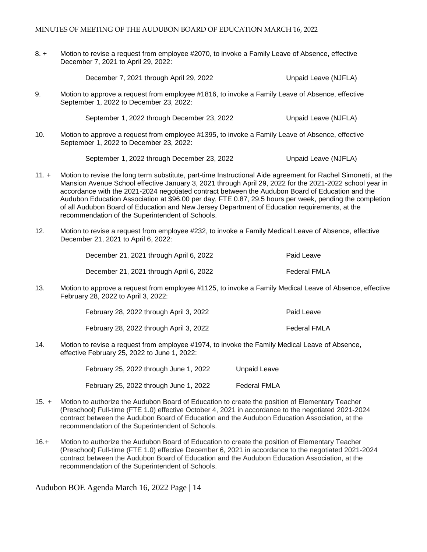#### MINUTES OF MEETING OF THE AUDUBON BOARD OF EDUCATION MARCH 16, 2022

8. + Motion to revise a request from employee #2070, to invoke a Family Leave of Absence, effective December 7, 2021 to April 29, 2022:

December 7, 2021 through April 29, 2022 Unpaid Leave (NJFLA)

9. Motion to approve a request from employee #1816, to invoke a Family Leave of Absence, effective September 1, 2022 to December 23, 2022:

September 1, 2022 through December 23, 2022 Unpaid Leave (NJFLA)

10. Motion to approve a request from employee #1395, to invoke a Family Leave of Absence, effective September 1, 2022 to December 23, 2022:

September 1, 2022 through December 23, 2022 Unpaid Leave (NJFLA)

- 11. + Motion to revise the long term substitute, part-time Instructional Aide agreement for Rachel Simonetti, at the Mansion Avenue School effective January 3, 2021 through April 29, 2022 for the 2021-2022 school year in accordance with the 2021-2024 negotiated contract between the Audubon Board of Education and the Audubon Education Association at \$96.00 per day, FTE 0.87, 29.5 hours per week, pending the completion of all Audubon Board of Education and New Jersey Department of Education requirements, at the recommendation of the Superintendent of Schools.
- 12. Motion to revise a request from employee #232, to invoke a Family Medical Leave of Absence, effective December 21, 2021 to April 6, 2022:

December 21, 2021 through April 6, 2022 Paid Leave December 21, 2021 through April 6, 2022 Federal FMLA

13. Motion to approve a request from employee #1125, to invoke a Family Medical Leave of Absence, effective February 28, 2022 to April 3, 2022:

| February 28, 2022 through April 3, 2022 | Paid Leave   |
|-----------------------------------------|--------------|
| February 28, 2022 through April 3, 2022 | Federal FMLA |

14. Motion to revise a request from employee #1974, to invoke the Family Medical Leave of Absence, effective February 25, 2022 to June 1, 2022:

> February 25, 2022 through June 1, 2022 Unpaid Leave February 25, 2022 through June 1, 2022 Federal FMLA

- 15. + Motion to authorize the Audubon Board of Education to create the position of Elementary Teacher (Preschool) Full-time (FTE 1.0) effective October 4, 2021 in accordance to the negotiated 2021-2024 contract between the Audubon Board of Education and the Audubon Education Association, at the recommendation of the Superintendent of Schools.
- 16.+ Motion to authorize the Audubon Board of Education to create the position of Elementary Teacher (Preschool) Full-time (FTE 1.0) effective December 6, 2021 in accordance to the negotiated 2021-2024 contract between the Audubon Board of Education and the Audubon Education Association, at the recommendation of the Superintendent of Schools.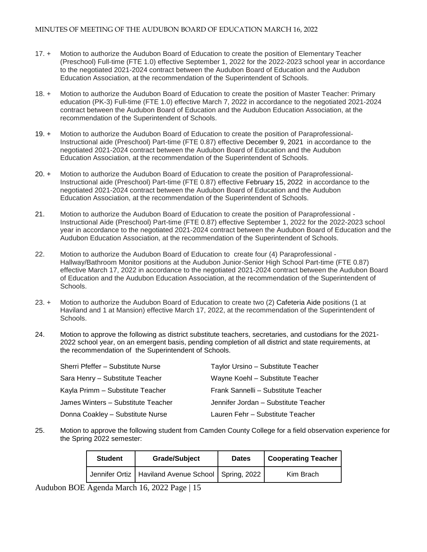- 17. + Motion to authorize the Audubon Board of Education to create the position of Elementary Teacher (Preschool) Full-time (FTE 1.0) effective September 1, 2022 for the 2022-2023 school year in accordance to the negotiated 2021-2024 contract between the Audubon Board of Education and the Audubon Education Association, at the recommendation of the Superintendent of Schools.
- 18. + Motion to authorize the Audubon Board of Education to create the position of Master Teacher: Primary education (PK-3) Full-time (FTE 1.0) effective March 7, 2022 in accordance to the negotiated 2021-2024 contract between the Audubon Board of Education and the Audubon Education Association, at the recommendation of the Superintendent of Schools.
- 19. + Motion to authorize the Audubon Board of Education to create the position of Paraprofessional-Instructional aide (Preschool) Part-time (FTE 0.87) effective December 9, 2021 in accordance to the negotiated 2021-2024 contract between the Audubon Board of Education and the Audubon Education Association, at the recommendation of the Superintendent of Schools.
- 20. + Motion to authorize the Audubon Board of Education to create the position of Paraprofessional-Instructional aide (Preschool) Part-time (FTE 0.87) effective February 15, 2022 in accordance to the negotiated 2021-2024 contract between the Audubon Board of Education and the Audubon Education Association, at the recommendation of the Superintendent of Schools.
- 21. Motion to authorize the Audubon Board of Education to create the position of Paraprofessional Instructional Aide (Preschool) Part-time (FTE 0.87) effective September 1, 2022 for the 2022-2023 school year in accordance to the negotiated 2021-2024 contract between the Audubon Board of Education and the Audubon Education Association, at the recommendation of the Superintendent of Schools.
- 22. Motion to authorize the Audubon Board of Education to create four (4) Paraprofessional Hallway/Bathroom Monitor positions at the Audubon Junior-Senior High School Part-time (FTE 0.87) effective March 17, 2022 in accordance to the negotiated 2021-2024 contract between the Audubon Board of Education and the Audubon Education Association, at the recommendation of the Superintendent of Schools.
- 23. + Motion to authorize the Audubon Board of Education to create two (2) Cafeteria Aide positions (1 at Haviland and 1 at Mansion) effective March 17, 2022, at the recommendation of the Superintendent of Schools.
- 24. Motion to approve the following as district substitute teachers, secretaries, and custodians for the 2021- 2022 school year, on an emergent basis, pending completion of all district and state requirements, at the recommendation of the Superintendent of Schools.

| Sherri Pfeffer - Substitute Nurse  | Taylor Ursino - Substitute Teacher   |
|------------------------------------|--------------------------------------|
| Sara Henry - Substitute Teacher    | Wayne Koehl - Substitute Teacher     |
| Kayla Primm - Substitute Teacher   | Frank Sannelli - Substitute Teacher  |
| James Winters - Substitute Teacher | Jennifer Jordan - Substitute Teacher |
| Donna Coakley - Substitute Nurse   | Lauren Fehr - Substitute Teacher     |

25. Motion to approve the following student from Camden County College for a field observation experience for the Spring 2022 semester:

| <b>Student</b> | <b>Grade/Subject</b>                                   | <b>Dates</b> | <b>Cooperating Teacher</b> |
|----------------|--------------------------------------------------------|--------------|----------------------------|
|                | Jennifer Ortiz   Haviland Avenue School   Spring, 2022 |              | Kim Brach                  |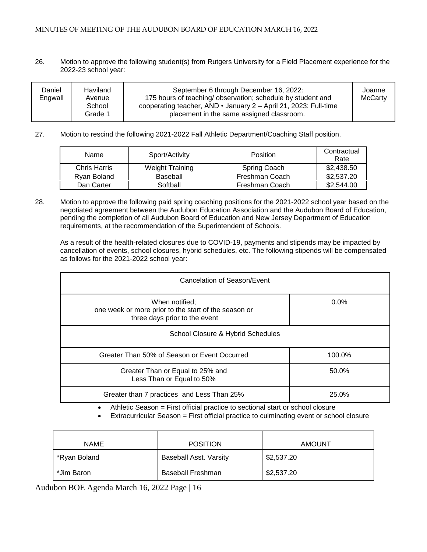### MINUTES OF MEETING OF THE AUDUBON BOARD OF EDUCATION MARCH 16, 2022

26. Motion to approve the following student(s) from Rutgers University for a Field Placement experience for the 2022-23 school year:

| Daniel<br>Engwall | Haviland<br>Avenue<br>School<br>Grade 1 | September 6 through December 16, 2022:<br>175 hours of teaching/observation; schedule by student and<br>cooperating teacher, AND $\cdot$ January 2 – April 21, 2023: Full-time<br>placement in the same assigned classroom. | Joanne<br><b>McCarty</b> |
|-------------------|-----------------------------------------|-----------------------------------------------------------------------------------------------------------------------------------------------------------------------------------------------------------------------------|--------------------------|
|-------------------|-----------------------------------------|-----------------------------------------------------------------------------------------------------------------------------------------------------------------------------------------------------------------------------|--------------------------|

27. Motion to rescind the following 2021-2022 Fall Athletic Department/Coaching Staff position.

| Name         | Sport/Activity         | Position       | Contractual<br>Rate |
|--------------|------------------------|----------------|---------------------|
| Chris Harris | <b>Weight Training</b> | Spring Coach   | \$2,438.50          |
| Rvan Boland  | Baseball               | Freshman Coach | \$2,537.20          |
| Dan Carter   | Softball               | Freshman Coach | \$2,544.00          |

28. Motion to approve the following paid spring coaching positions for the 2021-2022 school year based on the negotiated agreement between the Audubon Education Association and the Audubon Board of Education, pending the completion of all Audubon Board of Education and New Jersey Department of Education requirements, at the recommendation of the Superintendent of Schools.

As a result of the health-related closures due to COVID-19, payments and stipends may be impacted by cancellation of events, school closures, hybrid schedules, etc. The following stipends will be compensated as follows for the 2021-2022 school year:

| Cancelation of Season/Event                                                                             |         |  |
|---------------------------------------------------------------------------------------------------------|---------|--|
| When notified;<br>one week or more prior to the start of the season or<br>three days prior to the event | $0.0\%$ |  |
| School Closure & Hybrid Schedules                                                                       |         |  |
| Greater Than 50% of Season or Event Occurred                                                            | 100.0%  |  |
| Greater Than or Equal to 25% and<br>Less Than or Equal to 50%                                           | 50.0%   |  |
| Greater than 7 practices and Less Than 25%                                                              | 25.0%   |  |

Athletic Season = First official practice to sectional start or school closure

Extracurricular Season = First official practice to culminating event or school closure

| <b>NAME</b>  | <b>POSITION</b>               | <b>AMOUNT</b> |
|--------------|-------------------------------|---------------|
| *Ryan Boland | <b>Baseball Asst. Varsity</b> | \$2,537.20    |
| *Jim Baron   | <b>Baseball Freshman</b>      | \$2,537.20    |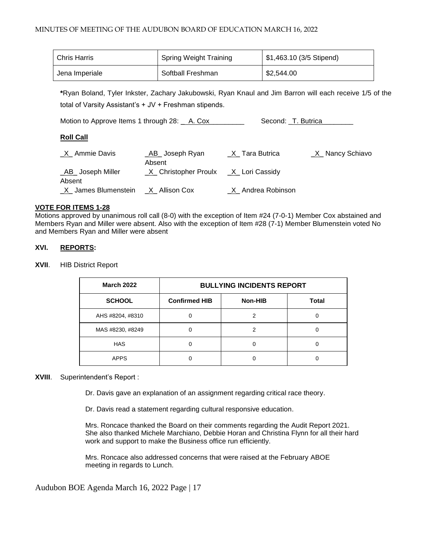| Chris Harris   | <b>Spring Weight Training</b> | \$1,463.10 (3/5 Stipend) |
|----------------|-------------------------------|--------------------------|
| Jena Imperiale | Softball Freshman             | \$2,544.00               |

**\***Ryan Boland, Tyler Inkster, Zachary Jakubowski, Ryan Knaul and Jim Barron will each receive 1/5 of the total of Varsity Assistant's + JV + Freshman stipends.

Motion to Approve Items 1 through 28: \_ A. Cox \_ \_ \_ \_ \_ Second: \_T. Butrica\_ \_ \_ \_ \_

# **Roll Call**

| X Ammie Davis                     | AB Joseph Ryan<br>Absent | X Tara Butrica    | X Nancy Schiavo |
|-----------------------------------|--------------------------|-------------------|-----------------|
| _AB_ Joseph Miller<br>Absent      | _X_ Christopher Proulx   | _X_ Lori Cassidy  |                 |
| X James Blumenstein X Allison Cox |                          | X Andrea Robinson |                 |

# **VOTE FOR ITEMS 1-28**

Motions approved by unanimous roll call (8-0) with the exception of Item #24 (7-0-1) Member Cox abstained and Members Ryan and Miller were absent. Also with the exception of Item #28 (7-1) Member Blumenstein voted No and Members Ryan and Miller were absent

# **XVI. REPORTS:**

**XVII**. HIB District Report

| <b>March 2022</b> | <b>BULLYING INCIDENTS REPORT</b> |         |              |
|-------------------|----------------------------------|---------|--------------|
| <b>SCHOOL</b>     | <b>Confirmed HIB</b>             | Non-HIB | <b>Total</b> |
| AHS #8204, #8310  |                                  |         |              |
| MAS #8230, #8249  |                                  |         |              |
| <b>HAS</b>        |                                  |         |              |
| <b>APPS</b>       |                                  |         |              |

# **XVIII**. Superintendent's Report :

Dr. Davis gave an explanation of an assignment regarding critical race theory.

Dr. Davis read a statement regarding cultural responsive education.

Mrs. Roncace thanked the Board on their comments regarding the Audit Report 2021. She also thanked Michele Marchiano, Debbie Horan and Christina Flynn for all their hard work and support to make the Business office run efficiently.

Mrs. Roncace also addressed concerns that were raised at the February ABOE meeting in regards to Lunch.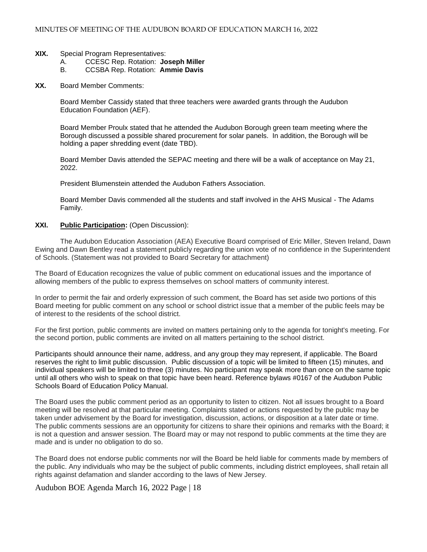#### **XIX.** Special Program Representatives:

- A. CCESC Rep. Rotation: **Joseph Miller**
- B. CCSBA Rep. Rotation: **Ammie Davis**
- **XX.** Board Member Comments:

Board Member Cassidy stated that three teachers were awarded grants through the Audubon Education Foundation (AEF).

Board Member Proulx stated that he attended the Audubon Borough green team meeting where the Borough discussed a possible shared procurement for solar panels. In addition, the Borough will be holding a paper shredding event (date TBD).

Board Member Davis attended the SEPAC meeting and there will be a walk of acceptance on May 21, 2022.

President Blumenstein attended the Audubon Fathers Association.

Board Member Davis commended all the students and staff involved in the AHS Musical - The Adams Family.

**XXI. Public Participation:** (Open Discussion):

The Audubon Education Association (AEA) Executive Board comprised of Eric Miller, Steven Ireland, Dawn Ewing and Dawn Bentley read a statement publicly regarding the union vote of no confidence in the Superintendent of Schools. (Statement was not provided to Board Secretary for attachment)

The Board of Education recognizes the value of public comment on educational issues and the importance of allowing members of the public to express themselves on school matters of community interest.

In order to permit the fair and orderly expression of such comment, the Board has set aside two portions of this Board meeting for public comment on any school or school district issue that a member of the public feels may be of interest to the residents of the school district.

For the first portion, public comments are invited on matters pertaining only to the agenda for tonight's meeting. For the second portion, public comments are invited on all matters pertaining to the school district.

Participants should announce their name, address, and any group they may represent, if applicable. The Board reserves the right to limit public discussion. Public discussion of a topic will be limited to fifteen (15) minutes, and individual speakers will be limited to three (3) minutes. No participant may speak more than once on the same topic until all others who wish to speak on that topic have been heard. Reference bylaws #0167 of the Audubon Public Schools Board of Education Policy Manual.

The Board uses the public comment period as an opportunity to listen to citizen. Not all issues brought to a Board meeting will be resolved at that particular meeting. Complaints stated or actions requested by the public may be taken under advisement by the Board for investigation, discussion, actions, or disposition at a later date or time. The public comments sessions are an opportunity for citizens to share their opinions and remarks with the Board; it is not a question and answer session. The Board may or may not respond to public comments at the time they are made and is under no obligation to do so.

The Board does not endorse public comments nor will the Board be held liable for comments made by members of the public. Any individuals who may be the subject of public comments, including district employees, shall retain all rights against defamation and slander according to the laws of New Jersey.